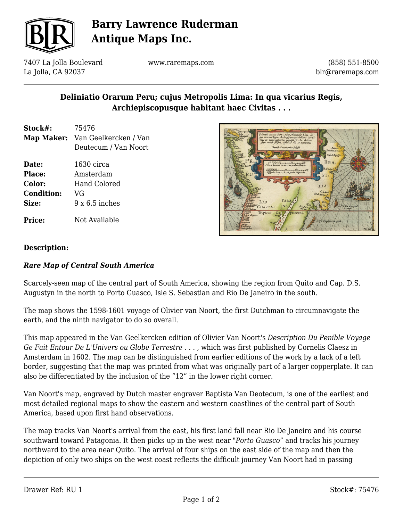

# **Barry Lawrence Ruderman Antique Maps Inc.**

7407 La Jolla Boulevard La Jolla, CA 92037

www.raremaps.com

(858) 551-8500 blr@raremaps.com

## **Deliniatio Orarum Peru; cujus Metropolis Lima: In qua vicarius Regis, Archiepiscopusque habitant haec Civitas . . .**

- **Stock#:** 75476 **Map Maker:** Van Geelkercken / Van Deutecum / Van Noort
- **Date:** 1630 circa **Place:** Amsterdam **Color:** Hand Colored
- **Condition:** VG **Size:** 9 x 6.5 inches

**Price:** Not Available



### **Description:**

### *Rare Map of Central South America*

Scarcely-seen map of the central part of South America, showing the region from Quito and Cap. D.S. Augustyn in the north to Porto Guasco, Isle S. Sebastian and Rio De Janeiro in the south.

The map shows the 1598-1601 voyage of Olivier van Noort, the first Dutchman to circumnavigate the earth, and the ninth navigator to do so overall.

This map appeared in the Van Geelkercken edition of Olivier Van Noort's *Description Du Penible Voyage Ge Fait Entour De L'Univers ou Globe Terrestre . . .* , which was first published by Cornelis Claesz in Amsterdam in 1602. The map can be distinguished from earlier editions of the work by a lack of a left border, suggesting that the map was printed from what was originally part of a larger copperplate. It can also be differentiated by the inclusion of the "12" in the lower right corner.

Van Noort's map, engraved by Dutch master engraver Baptista Van Deotecum, is one of the earliest and most detailed regional maps to show the eastern and western coastlines of the central part of South America, based upon first hand observations.

The map tracks Van Noort's arrival from the east, his first land fall near Rio De Janeiro and his course southward toward Patagonia. It then picks up in the west near "*Porto Guasco*" and tracks his journey northward to the area near Quito. The arrival of four ships on the east side of the map and then the depiction of only two ships on the west coast reflects the difficult journey Van Noort had in passing